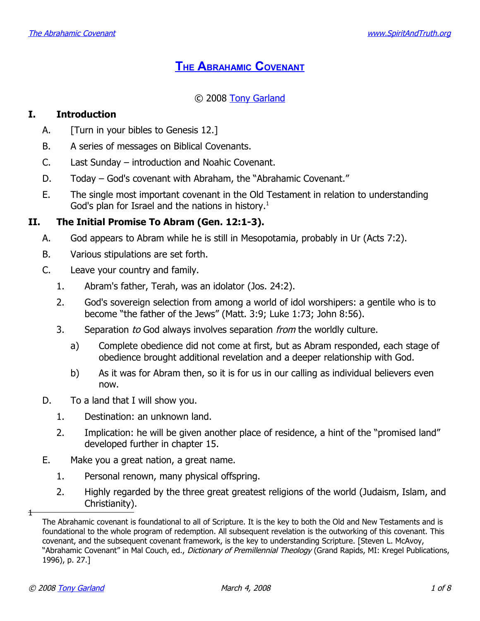# **THE A[BRAHAMIC](http://www.spiritandtruth.org/teaching/20.htm) COVENANT**

# © 2008 [Tony Garland](http://www.spiritandtruth.org/id/tg.htm)

# **I. Introduction**

- A. **[Turn in your bibles to Genesis 12.]**
- B. A series of messages on Biblical Covenants.
- C. Last Sunday introduction and Noahic Covenant.
- D. Today God's covenant with Abraham, the "Abrahamic Covenant."
- E. The single most important covenant in the Old Testament in relation to understanding God's plan for Israel and the nations in history.<sup>[1](#page-0-0)</sup>

# **II. The Initial Promise To Abram (Gen. 12:1-3).**

- A. God appears to Abram while he is still in Mesopotamia, probably in Ur (Acts 7:2).
- B. Various stipulations are set forth.
- C. Leave your country and family.
	- 1. Abram's father, Terah, was an idolator (Jos. 24:2).
	- 2. God's sovereign selection from among a world of idol worshipers: a gentile who is to become "the father of the Jews" (Matt. 3:9; Luke 1:73; John 8:56).
	- 3. Separation to God always involves separation from the worldly culture.
		- a) Complete obedience did not come at first, but as Abram responded, each stage of obedience brought additional revelation and a deeper relationship with God.
		- b) As it was for Abram then, so it is for us in our calling as individual believers even now.
- D. To a land that I will show you.
	- 1. Destination: an unknown land.
	- 2. Implication: he will be given another place of residence, a hint of the "promised land" developed further in chapter 15.
- E. Make you a great nation, a great name.
	- 1. Personal renown, many physical offspring.
	- 2. Highly regarded by the three great greatest religions of the world (Judaism, Islam, and Christianity).

 $\overline{1}$ 

<span id="page-0-0"></span>The Abrahamic covenant is foundational to all of Scripture. It is the key to both the Old and New Testaments and is foundational to the whole program of redemption. All subsequent revelation is the outworking of this covenant. This covenant, and the subsequent covenant framework, is the key to understanding Scripture. [Steven L. McAvoy, "Abrahamic Covenant" in Mal Couch, ed., *Dictionary of Premillennial Theology* (Grand Rapids, MI: Kregel Publications, 1996), p. 27.]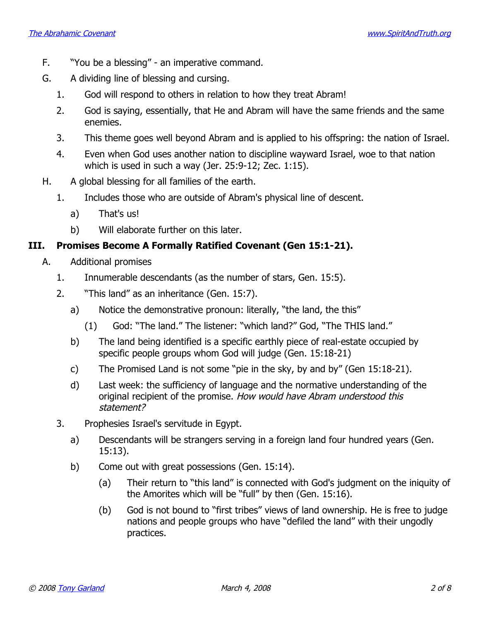- F. "You be a blessing" an imperative command.
- G. A dividing line of blessing and cursing.
	- 1. God will respond to others in relation to how they treat Abram!
	- 2. God is saying, essentially, that He and Abram will have the same friends and the same enemies.
	- 3. This theme goes well beyond Abram and is applied to his offspring: the nation of Israel.
	- 4. Even when God uses another nation to discipline wayward Israel, woe to that nation which is used in such a way (Jer. 25:9-12; Zec. 1:15).
- H. A global blessing for all families of the earth.
	- 1. Includes those who are outside of Abram's physical line of descent.
		- a) That's us!
		- b) Will elaborate further on this later.

# **III. Promises Become A Formally Ratified Covenant (Gen 15:1-21).**

- A. Additional promises
	- 1. Innumerable descendants (as the number of stars, Gen. 15:5).
	- 2. "This land" as an inheritance (Gen. 15:7).
		- a) Notice the demonstrative pronoun: literally, "the land, the this"
			- (1) God: "The land." The listener: "which land?" God, "The THIS land."
		- b) The land being identified is a specific earthly piece of real-estate occupied by specific people groups whom God will judge (Gen. 15:18-21)
		- c) The Promised Land is not some "pie in the sky, by and by" (Gen 15:18-21).
		- d) Last week: the sufficiency of language and the normative understanding of the original recipient of the promise. How would have Abram understood this statement?
	- 3. Prophesies Israel's servitude in Egypt.
		- a) Descendants will be strangers serving in a foreign land four hundred years (Gen. 15:13).
		- b) Come out with great possessions (Gen. 15:14).
			- (a) Their return to "this land" is connected with God's judgment on the iniquity of the Amorites which will be "full" by then (Gen. 15:16).
			- (b) God is not bound to "first tribes" views of land ownership. He is free to judge nations and people groups who have "defiled the land" with their ungodly practices.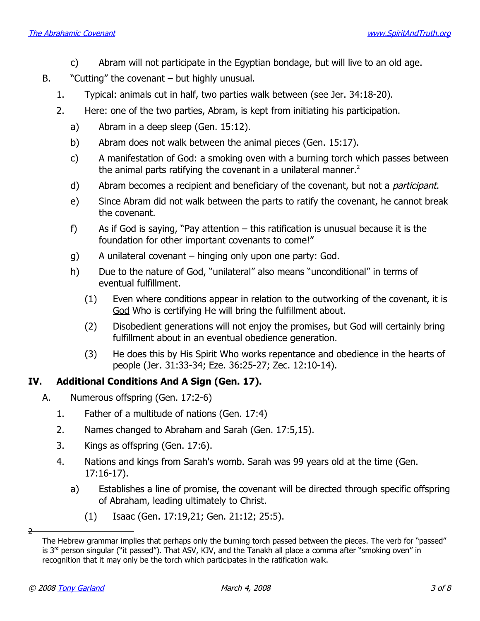- c) Abram will not participate in the Egyptian bondage, but will live to an old age.
- B. "Cutting" the covenant but highly unusual.
	- 1. Typical: animals cut in half, two parties walk between (see Jer. 34:18-20).
	- 2. Here: one of the two parties, Abram, is kept from initiating his participation.
		- a) Abram in a deep sleep (Gen. 15:12).
		- b) Abram does not walk between the animal pieces (Gen. 15:17).
		- c) A manifestation of God: a smoking oven with a burning torch which passes between the animal parts ratifying the covenant in a unilateral manner.<sup>[2](#page-2-0)</sup>
		- d) Abram becomes a recipient and beneficiary of the covenant, but not a *participant*.
		- e) Since Abram did not walk between the parts to ratify the covenant, he cannot break the covenant.
		- f) As if God is saying, "Pay attention this ratification is unusual because it is the foundation for other important covenants to come!"
		- g) A unilateral covenant hinging only upon one party: God.
		- h) Due to the nature of God, "unilateral" also means "unconditional" in terms of eventual fulfillment.
			- (1) Even where conditions appear in relation to the outworking of the covenant, it is God Who is certifying He will bring the fulfillment about.
			- (2) Disobedient generations will not enjoy the promises, but God will certainly bring fulfillment about in an eventual obedience generation.
			- (3) He does this by His Spirit Who works repentance and obedience in the hearts of people (Jer. 31:33-34; Eze. 36:25-27; Zec. 12:10-14).

# **IV. Additional Conditions And A Sign (Gen. 17).**

- A. Numerous offspring (Gen. 17:2-6)
	- 1. Father of a multitude of nations (Gen. 17:4)
	- 2. Names changed to Abraham and Sarah (Gen. 17:5,15).
	- 3. Kings as offspring (Gen. 17:6).
	- 4. Nations and kings from Sarah's womb. Sarah was 99 years old at the time (Gen. 17:16-17).
		- a) Establishes a line of promise, the covenant will be directed through specific offspring of Abraham, leading ultimately to Christ.
			- (1) Isaac (Gen. 17:19,21; Gen. 21:12; 25:5).

 $\overline{z}$ 

<span id="page-2-0"></span>The Hebrew grammar implies that perhaps only the burning torch passed between the pieces. The verb for "passed" is 3<sup>rd</sup> person singular ("it passed"). That ASV, KJV, and the Tanakh all place a comma after "smoking oven" in recognition that it may only be the torch which participates in the ratification walk.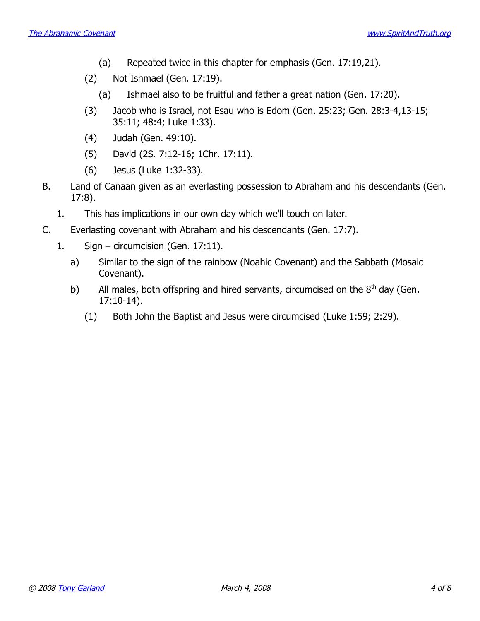- (a) Repeated twice in this chapter for emphasis (Gen. 17:19,21).
- (2) Not Ishmael (Gen. 17:19).
	- (a) Ishmael also to be fruitful and father a great nation (Gen. 17:20).
- (3) Jacob who is Israel, not Esau who is Edom (Gen. 25:23; Gen. 28:3-4,13-15; 35:11; 48:4; Luke 1:33).
- (4) Judah (Gen. 49:10).
- (5) David (2S. 7:12-16; 1Chr. 17:11).
- (6) Jesus (Luke 1:32-33).
- B. Land of Canaan given as an everlasting possession to Abraham and his descendants (Gen. 17:8).
	- 1. This has implications in our own day which we'll touch on later.
- C. Everlasting covenant with Abraham and his descendants (Gen. 17:7).
	- 1. Sign circumcision (Gen. 17:11).
		- a) Similar to the sign of the rainbow (Noahic Covenant) and the Sabbath (Mosaic Covenant).
		- b) All males, both offspring and hired servants, circumcised on the  $8<sup>th</sup>$  day (Gen. 17:10-14).
			- (1) Both John the Baptist and Jesus were circumcised (Luke 1:59; 2:29).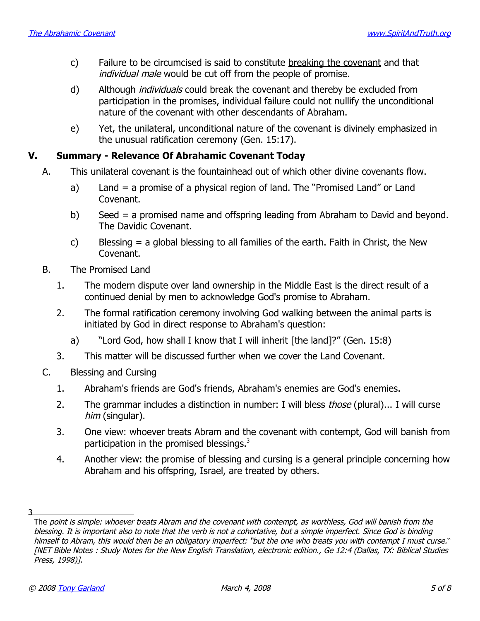- c) Failure to be circumcised is said to constitute breaking the covenant and that individual male would be cut off from the people of promise.
- d) Although *individuals* could break the covenant and thereby be excluded from participation in the promises, individual failure could not nullify the unconditional nature of the covenant with other descendants of Abraham.
- e) Yet, the unilateral, unconditional nature of the covenant is divinely emphasized in the unusual ratification ceremony (Gen. 15:17).

# **V. Summary - Relevance Of Abrahamic Covenant Today**

- A. This unilateral covenant is the fountainhead out of which other divine covenants flow.
	- a) Land = a promise of a physical region of land. The "Promised Land" or Land Covenant.
	- b) Seed = a promised name and offspring leading from Abraham to David and beyond. The Davidic Covenant.
	- c) Blessing = a global blessing to all families of the earth. Faith in Christ, the New Covenant.
	- B. The Promised Land
		- 1. The modern dispute over land ownership in the Middle East is the direct result of a continued denial by men to acknowledge God's promise to Abraham.
		- 2. The formal ratification ceremony involving God walking between the animal parts is initiated by God in direct response to Abraham's question:
			- a) "Lord God, how shall I know that I will inherit [the land]?" (Gen. 15:8)
		- 3. This matter will be discussed further when we cover the Land Covenant.
	- C. Blessing and Cursing
		- 1. Abraham's friends are God's friends, Abraham's enemies are God's enemies.
		- 2. The grammar includes a distinction in number: I will bless *those* (plural)... I will curse him (singular).
		- 3. One view: whoever treats Abram and the covenant with contempt, God will banish from participation in the promised blessings.<sup>[3](#page-4-0)</sup>
		- 4. Another view: the promise of blessing and cursing is a general principle concerning how Abraham and his offspring, Israel, are treated by others.

<sup>3</sup>

<span id="page-4-0"></span>The point is simple: whoever treats Abram and the covenant with contempt, as worthless, God will banish from the blessing. It is important also to note that the verb is not a cohortative, but a simple imperfect. Since God is binding himself to Abram, this would then be an obligatory imperfect: " but the one who treats you with contempt I must curse." [NET Bible Notes : Study Notes for the New English Translation, electronic edition., Ge 12:4 (Dallas, TX: Biblical Studies Press, 1998)].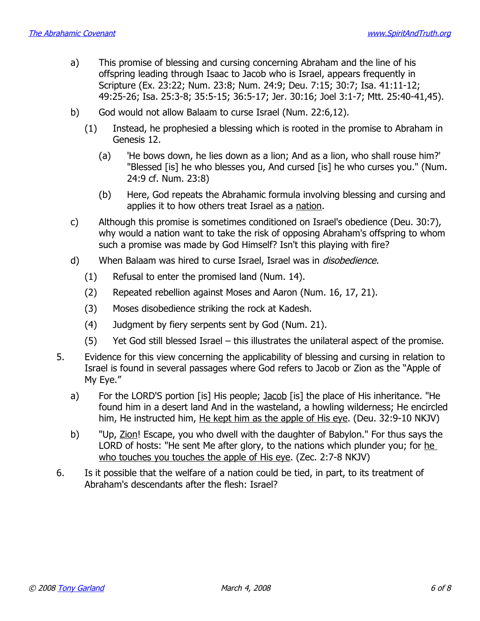- a) This promise of blessing and cursing concerning Abraham and the line of his offspring leading through Isaac to Jacob who is Israel, appears frequently in Scripture (Ex. 23:22; Num. 23:8; Num. 24:9; Deu. 7:15; 30:7; Isa. 41:11-12; 49:25-26; Isa. 25:3-8; 35:5-15; 36:5-17; Jer. 30:16; Joel 3:1-7; Mtt. 25:40-41,45).
- b) God would not allow Balaam to curse Israel (Num. 22:6,12).
	- (1) Instead, he prophesied a blessing which is rooted in the promise to Abraham in Genesis 12.
		- (a) 'He bows down, he lies down as a lion; And as a lion, who shall rouse him?' "Blessed [is] he who blesses you, And cursed [is] he who curses you." (Num. 24:9 cf. Num. 23:8)
		- (b) Here, God repeats the Abrahamic formula involving blessing and cursing and applies it to how others treat Israel as a nation.
- c) Although this promise is sometimes conditioned on Israel's obedience (Deu. 30:7), why would a nation want to take the risk of opposing Abraham's offspring to whom such a promise was made by God Himself? Isn't this playing with fire?
- d) When Balaam was hired to curse Israel, Israel was in *disobedience*.
	- (1) Refusal to enter the promised land (Num. 14).
	- (2) Repeated rebellion against Moses and Aaron (Num. 16, 17, 21).
	- (3) Moses disobedience striking the rock at Kadesh.
	- (4) Judgment by fiery serpents sent by God (Num. 21).
	- (5) Yet God still blessed Israel this illustrates the unilateral aspect of the promise.
- 5. Evidence for this view concerning the applicability of blessing and cursing in relation to Israel is found in several passages where God refers to Jacob or Zion as the "Apple of My Eye."
	- a) For the LORD'S portion [is] His people; Jacob [is] the place of His inheritance. "He found him in a desert land And in the wasteland, a howling wilderness; He encircled him, He instructed him, He kept him as the apple of His eye. (Deu. 32:9-10 NKJV)
	- b) "Up, Zion! Escape, you who dwell with the daughter of Babylon." For thus says the LORD of hosts: "He sent Me after glory, to the nations which plunder you; for he who touches you touches the apple of His eye. (Zec. 2:7-8 NKJV)
- 6. Is it possible that the welfare of a nation could be tied, in part, to its treatment of Abraham's descendants after the flesh: Israel?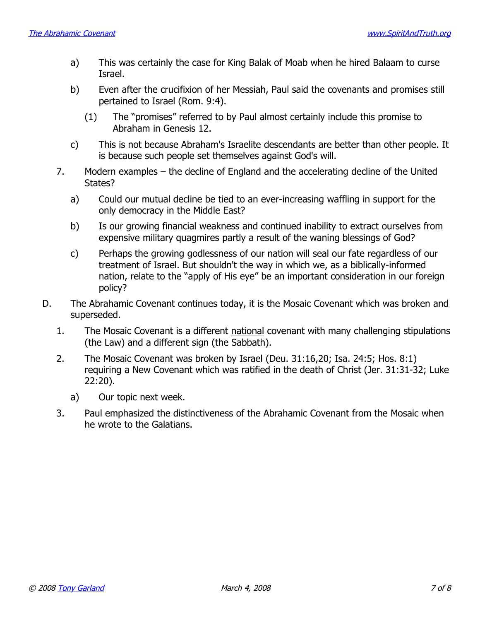- a) This was certainly the case for King Balak of Moab when he hired Balaam to curse Israel.
- b) Even after the crucifixion of her Messiah, Paul said the covenants and promises still pertained to Israel (Rom. 9:4).
	- (1) The "promises" referred to by Paul almost certainly include this promise to Abraham in Genesis 12.
- c) This is not because Abraham's Israelite descendants are better than other people. It is because such people set themselves against God's will.
- 7. Modern examples the decline of England and the accelerating decline of the United States?
	- a) Could our mutual decline be tied to an ever-increasing waffling in support for the only democracy in the Middle East?
	- b) Is our growing financial weakness and continued inability to extract ourselves from expensive military quagmires partly a result of the waning blessings of God?
	- c) Perhaps the growing godlessness of our nation will seal our fate regardless of our treatment of Israel. But shouldn't the way in which we, as a biblically-informed nation, relate to the "apply of His eye" be an important consideration in our foreign policy?
- D. The Abrahamic Covenant continues today, it is the Mosaic Covenant which was broken and superseded.
	- 1. The Mosaic Covenant is a different national covenant with many challenging stipulations (the Law) and a different sign (the Sabbath).
	- 2. The Mosaic Covenant was broken by Israel (Deu. 31:16,20; Isa. 24:5; Hos. 8:1) requiring a New Covenant which was ratified in the death of Christ (Jer. 31:31-32; Luke 22:20).
		- a) Our topic next week.
	- 3. Paul emphasized the distinctiveness of the Abrahamic Covenant from the Mosaic when he wrote to the Galatians.